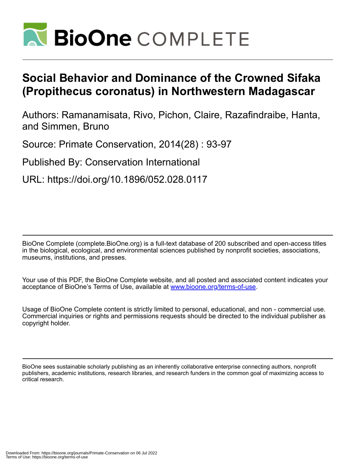

# **Social Behavior and Dominance of the Crowned Sifaka (Propithecus coronatus) in Northwestern Madagascar**

Authors: Ramanamisata, Rivo, Pichon, Claire, Razafindraibe, Hanta, and Simmen, Bruno

Source: Primate Conservation, 2014(28) : 93-97

Published By: Conservation International

URL: https://doi.org/10.1896/052.028.0117

BioOne Complete (complete.BioOne.org) is a full-text database of 200 subscribed and open-access titles in the biological, ecological, and environmental sciences published by nonprofit societies, associations, museums, institutions, and presses.

Your use of this PDF, the BioOne Complete website, and all posted and associated content indicates your acceptance of BioOne's Terms of Use, available at www.bioone.org/terms-of-use.

Usage of BioOne Complete content is strictly limited to personal, educational, and non - commercial use. Commercial inquiries or rights and permissions requests should be directed to the individual publisher as copyright holder.

BioOne sees sustainable scholarly publishing as an inherently collaborative enterprise connecting authors, nonprofit publishers, academic institutions, research libraries, and research funders in the common goal of maximizing access to critical research.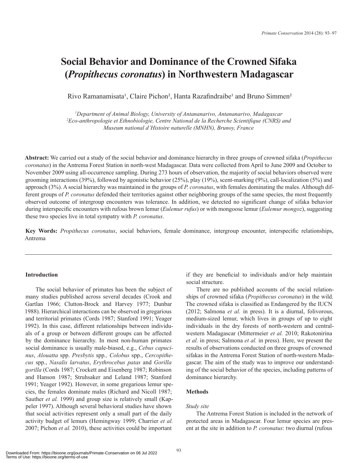## **Social Behavior and Dominance of the Crowned Sifaka (***Propithecus coronatus***) in Northwestern Madagascar**

Rivo Ramanamisata<sup>1</sup>, Claire Pichon<sup>2</sup>, Hanta Razafindraibe<sup>1</sup> and Bruno Simmen<sup>2</sup>

*1 Department of Animal Biology, University of Antananarivo, Antananarivo, Madagascar 2 Eco-anthropologie et Ethnobiologie, Centre National de la Recherche Scientifique (CNRS) and Museum national d'Histoire naturelle (MNHN), Brunoy, France*

**Abstract:** We carried out a study of the social behavior and dominance hierarchy in three groups of crowned sifaka (*Propithecus coronatus*) in the Antrema Forest Station in north-west Madagascar. Data were collected from April to June 2009 and October to November 2009 using all-occurrence sampling. During 273 hours of observation, the majority of social behaviors observed were grooming interactions (39%), followed by agonistic behavior (25%), play (19%), scent-marking (9%), call-localization (5%) and approach (3%). A social hierarchy was maintained in the groups of *P. coronatus*, with females dominating the males. Although different groups of *P. coronatus* defended their territories against other neighboring groups of the same species, the most frequently observed outcome of intergroup encounters was tolerance. In addition, we detected no significant change of sifaka behavior during interspecific encounters with rufous brown lemur (*Eulemur rufus*) or with mongoose lemur (*Eulemur mongoz*), suggesting these two species live in total sympatry with *P. coronatus*.

**Key Words:** *Propithecus coronatus*, social behaviors, female dominance, intergroup encounter, interspecific relationships, Antrema

## **Introduction**

The social behavior of primates has been the subject of many studies published across several decades (Crook and Gartlan 1966; Clutton-Brock and Harvey 1977; Dunbar 1988). Hierarchical interactions can be observed in gregarious and territorial primates (Cords 1987; Stanford 1991; Yeager 1992). In this case, different relationships between individuals of a group or between different groups can be affected by the dominance hierarchy. In most non-human primates social dominance is usually male-biased, e.g., *Cebus capucinus*, *Alouatta* spp. *Presbytis* spp*., Colobus* spp., *Cercopithecus* spp., *Nasalis larvatus*, *Erythrocebus patas* and *Gorilla gorilla* (Cords 1987; Crockett and Eisenberg 1987; Robinson and Hanson 1987; Struhsaker and Leland 1987; Stanford 1991; Yeager 1992). However, in some gregarious lemur species, the females dominate males (Richard and Nicoll 1987; Sauther *et al.* 1999) and group size is relatively small (Kappeler 1997). Although several behavioral studies have shown that social activities represent only a small part of the daily activity budget of lemurs (Hemingway 1999; Charrier *et al.* 2007; Pichon *et al.* 2010), these activities could be important

if they are beneficial to individuals and/or help maintain social structure.

There are no published accounts of the social relationships of crowned sifaka (*Propithecus coronatus*) in the wild. The crowned sifaka is classified as Endangered by the IUCN (2012; Salmona *et al.* in press). It is a diurnal, folivorous, medium-sized lemur, which lives in groups of up to eight individuals in the dry forests of north-western and centralwestern Madagascar (Mittermeier *et al.* 2010; Rakotonirina *et al.* in press; Salmona *et al.* in press). Here, we present the results of observations conducted on three groups of crowned sifakas in the Antrema Forest Station of north-western Madagascar. The aim of the study was to improve our understanding of the social behavior of the species, including patterns of dominance hierarchy.

## **Methods**

## *Study site*

The Antrema Forest Station is included in the network of protected areas in Madagascar. Four lemur species are present at the site in addition to *P. coronatus*: two diurnal (rufous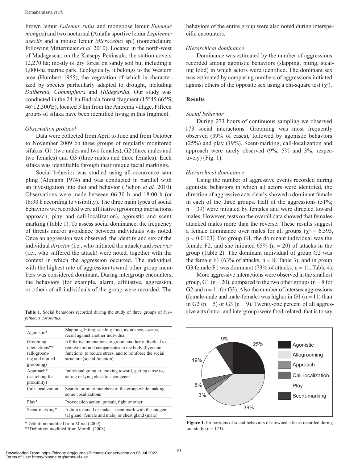brown lemur *Eulemur rufus* and mongoose lemur *Eulemur mongoz*) and two nocturnal (Antafia sportive lemur *Lepilemur aeeclis* and a mouse lemur *Microcebus* sp.) (nomenclature following Mittermeier *et al.* 2010). Located in the north-west of Madagascar, on the Katsepy Peninsula, the station covers 12,270 ha; mostly of dry forest on sandy soil but including a 1,000-ha marine park. Ecologically, it belongs to the Western area (Humbert 1955), the vegetation of which is characterized by species particularly adapted to drought, including *Dalbergia, Commiphora* and *Hildegardia.* Our study was conducted in the 24-ha Badrala forest fragment (15°45.665'S, 46°12.300'E), located 3 km from the Antrema village. Fifteen groups of sifaka have been identified living in this fragment.

#### *Observation protocol*

Data were collected from April to June and from October to November 2009 on three groups of regularly monitored sifakas: G1 (two males and two females), G2 (three males and two females) and G3 (three males and three females). Each sifaka was identifiable through their unique facial markings.

Social behavior was studied using all-occurrence sampling (Altmann 1974) and was conducted in parallel with an investigation into diet and behavior (Pichon *et al.* 2010). Observations were made between 06:30 h and 18:00 h (or 18:30 h according to visibility). The three main types of social behaviors we recorded were affiliative (grooming interactions, approach, play and call-localization), agonistic and scentmarking (Table 1). To assess social dominance, the frequency of threats and/or avoidance between individuals was noted. Once an aggression was observed, the identity and sex of the individual *director* (i.e., who initiated the attack) and *receiver*  (i.e., who suffered the attack) were noted, together with the context in which the aggression occurred. The individual with the highest rate of aggression toward other group members was considered dominant. During intergroup encounters, the behaviors (for example, alarm, affiliative, aggression, or other) of all individuals of the group were recorded. The

**Table 1.** Social behaviors recorded during the study of three groups of *Propithecus coronatus*.

| Agonistic*                                                               | Slapping, biting, stealing food, avoidance, escape,<br>recoil against another individual                                                                                                                  |
|--------------------------------------------------------------------------|-----------------------------------------------------------------------------------------------------------------------------------------------------------------------------------------------------------|
| Grooming<br>interactions**<br>(allogroom-<br>ing and mutual<br>grooming) | Affiliative interactions to groom another individual to<br>remove dirt and ectoparasites in the body (hygienic<br>function), to reduce stress, and to reinforce the social<br>structure (social function) |
| Approach*<br>(searching for<br>proximity)                                | Individual going to, moving toward, getting close to,<br>sitting or lying close to a congener                                                                                                             |
| Call-localization                                                        | Search for other members of the group while making<br>some vocalizations                                                                                                                                  |
| $Play*$                                                                  | Provocation action, pursuit, fight or other                                                                                                                                                               |
| Scent-marking*                                                           | Action to smell or make a scent mark with the anogeni-<br>tal gland (female and male) or chest gland (male)                                                                                               |

\*Definition modified from Moral (2009).

\*\*Definition modified from Morelli (2008).

behaviors of the entire group were also noted during interspecific encounters.

#### *Hierarchical dominance*

Dominance was estimated by the number of aggressions recorded among agonistic behaviors (slapping, biting, stealing food) in which actors were identified. The dominant sex was estimated by comparing numbers of aggressions initiated against others of the opposite sex using a chi-square test  $(\gamma^2)$ .

### **Results**

#### *Social behavior*

During 273 hours of continuous sampling we observed 173 social interactions. Grooming was most frequently observed (39% of cases), followed by agonistic behaviors (25%) and play (19%). Scent-marking, call-localization and approach were rarely observed (9%, 5% and 3%, respectively)  $(Fig. 1)$ .

#### *Hierarchical dominance*

Using the number of aggressive events recorded during agonistic behaviors in which all actors were identified, the direction of aggressive acts clearly showed a dominant female in each of the three groups. Half of the aggressions (51%;  $n = 39$ ) were initiated by females and were directed toward males. However, tests on the overall data showed that females attacked males more than the reverse. These results suggest a female dominance over males for all groups ( $\chi^2 = 6.593$ ,  $p < 0.0103$ ). For group G1, the dominant individual was the female F2, and she initiated  $65\%$  (n = 20) of attacks in the group (Table 2). The dominant individual of group G2 was the female F1 (63% of attacks,  $n = 8$ ; Table 3), and in group G3 female F1 was dominant  $(73\%$  of attacks,  $n = 11$ ; Table 4).

More aggressive interactions were observed in the smallest group, G1 ( $n = 20$ ), compared to the two other groups ( $n = 8$  for G2 and  $n = 11$  for G3). Also the number of intersex aggressions (female-male and male-female) was higher in G1 ( $n = 11$ ) than in G2 ( $n = 5$ ) or G3 ( $n = 9$ ). Twenty-one percent of all aggressive acts (intra- and intergroup) were food-related, that is to say,



**Figure 1.** Proportions of social behaviors of crowned sifakas recorded during our study ( $n = 173$ ).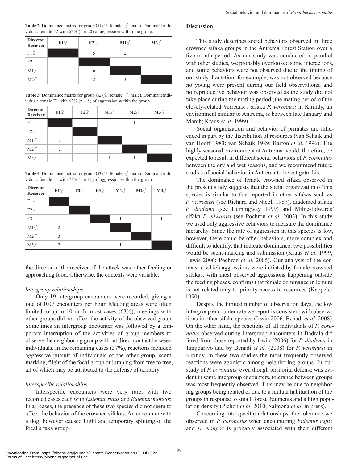**Table 2.** Dominance matrix for group G1 ( $\varphi$ : female;  $\varphi$ : male). Dominant individual: female F2 with  $63\%$  (n = 20) of aggression within the group.

| <b>Director</b><br>Reciever | F19 | $F2$ $\subset$ | $M1\text{A}$ | $M2\textup{C}$ |
|-----------------------------|-----|----------------|--------------|----------------|
| F12                         |     |                |              |                |
| F29                         |     |                |              |                |
| $M1\text{O}^2$              |     | b              |              |                |
| $M2\textup{C}^{\wedge}$     |     |                |              |                |

**Table 3.** Dominance matrix for group G2 ( $\subsetneq$ : female;  $\circlearrowleft$ : male). Dominant individual: female F1 with  $63\%$  (n = 8) of aggression within the group.

| <b>Director</b><br>Receiver | F19 | $F2$ <sup><math>Q</math></sup> | $M1\textup{C}$ | $M2\text{C}$ | $M3\text{O}$ |
|-----------------------------|-----|--------------------------------|----------------|--------------|--------------|
| F19                         |     |                                |                |              |              |
| F29                         |     |                                |                |              |              |
| $M1\textup{C}$              |     |                                |                |              |              |
| $M2\textup{C}$              | 2   |                                |                |              |              |
| $M3\text{O}^4$              |     |                                |                |              |              |

**Table 4.** Dominance matrix for group G3 ( $\varphi$ : female;  $\varphi$ : male). Dominant individual: female F1 with 73% ( $n = 11$ ) of aggression within the group.

| <b>Director</b><br>Receiver | F19            | F22 | F3 <sup>°</sup> | $M1\text{m}$ | $M2\text{A}$ | $M3\text{O}$ |
|-----------------------------|----------------|-----|-----------------|--------------|--------------|--------------|
| F19                         |                |     |                 |              |              |              |
| F29                         |                |     |                 |              |              |              |
| F3 <sup>Q</sup>             |                |     |                 |              |              |              |
| $M1\text{O}^2$              | $\mathfrak{D}$ |     |                 |              |              |              |
| $M2\textup{C}^{\wedge}$     | $\mathbf{3}$   |     |                 |              |              |              |
| $M3\text{O}^4$              | $\mathfrak{D}$ |     |                 |              |              |              |

the director or the receiver of the attack was either feeding or approaching food. Otherwise, the contexts were variable.

## *Intergroup relationships*

Only 19 intergroup encounters were recorded, giving a rate of 0.07 encounters per hour. Meeting areas were often limited to up to 10 m. In most cases (63%), meetings with other groups did not affect the activity of the observed group. Sometimes an intergroup encounter was followed by a temporary interruption of the activities of group members to observe the neighboring group without direct contact between individuals. In the remaining cases (37%), reactions included aggressive pursuit of individuals of the other group, scentmarking, flight of the focal group or jumping from tree to tree, all of which may be attributed to the defense of territory.

#### *Interspecific relationships*

Interspecific encounters were very rare, with two recorded cases each with *Eulemur rufus* and *Eulemur mongoz*. In all cases, the presence of these two species did not seem to affect the behavior of the crowned sifakas. An encounter with a dog, however caused flight and temporary splitting of the focal sifaka group.

#### **Discussion**

This study describes social behaviors observed in three crowned sifaka groups in the Antrema Forest Station over a five-month period. As our study was conducted in parallel with other studies, we probably overlooked some interactions, and some behaviors were not observed due to the timing of our study. Lactation, for example, was not observed because no young were present during our field observations, and no reproductive behavior was observed as the study did not take place during the mating period (the mating period of the closely-related Verreaux's sifaka *P. verreauxi* in Kirindy, an environment similar to Antrema, is between late January and March; Kraus *et al.* 1999).

Social organization and behavior of primates are influenced in part by the distribution of resources (van Schaik and van Hooff 1983; van Schaik 1989; Barton *et al.* 1996). The highly seasonal environment at Antrema would, therefore, be expected to result in different social behaviors of *P. coronatus* between the dry and wet seasons, and we recommend future studies of social behavior in Antrema to investigate this.

The dominance of female crowned sifaka observed in the present study suggests that the social organization of this species is similar to that reported in other sifakas such as *P. verreauxi* (see Richard and Nicoll 1987), diademed sifaka *P. diadema* (see Hemingway 1999) and Milne-Edwards' sifaka *P. edwardsi* (see Pochron *et al.* 2003). In this study, we used only aggressive behaviors to measure the dominance hierarchy. Since the rate of aggression in this species is low, however, there could be other behaviors, more complex and difficult to identify, that indicate dominance; two possibilities would be scent-marking and submission (Kraus *et al.* 1999; Lewis 2006; Pochron *et al.* 2005). Our analysis of the contexts in which aggressions were initiated by female crowned sifakas, with most observed aggressions happening outside the feeding phases, confirms that female dominance in lemurs is not related only to priority access to resources (Kappeler 1990).

Despite the limited number of observation days, the low intergroup encounter rate we report is consistent with observations in other sifaka species (Irwin 2006; Benadi *et al.* 2008). On the other hand, the reactions of all individuals of *P. coronatus* observed during intergroup encounters in Badrala differed from those reported by Irwin (2006) for *P. diadema* in Tsinjoarivo and by Benadi *et al.* (2008) for *P. verreauxi* in Kirindy. In these two studies the most frequently observed reactions were agonistic among neighboring groups. In our study of *P. coronatus,* even though territorial defense was evident in some intergroup encounters, tolerance between groups was most frequently observed. This may be due to neighboring groups being related or due to a mutual habituation of the groups in response to small forest fragments and a high population density (Pichon *et al.* 2010; Salmona *et al.* in press).

Concerning interspecific relationships, the tolerance we observed in *P. coronatus* when encountering *Eulemur rufus* and *E. mongoz* is probably associated with their different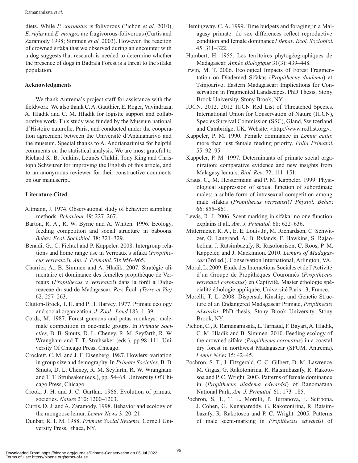diets. While *P. coronatus* is folivorous (Pichon *et al.* 2010), *E. rufus* and *E. mongoz* are frugivorous-folivorous (Curtis and Zaramody 1998; Simmen *et al.* 2003). However, the reaction of crowned sifaka that we observed during an encounter with a dog suggests that research is needed to determine whether the presence of dogs in Badrala Forest is a threat to the sifaka population.

## **Acknowledgments**

We thank Antrema's project staff for assistance with the fieldwork. We also thank C. A. Gauthier, E. Roger, Vavindraza, A. Hladik and C. M. Hladik for logistic support and collaborative work. This study was funded by the Museum national d'Histoire naturelle, Paris, and conducted under the cooperation agreement between the Université d'Antananarivo and the museum. Special thanks to A. Andrianarimisa for helpful comments on the statistical analysis. We are most grateful to Richard K. B. Jenkins, Lounès Chikhi, Tony King and Christoph Schwitzer for improving the English of this article, and to an anonymous reviewer for their constructive comments on our manuscript.

## **Literature Cited**

- Altmann, J. 1974. Observational study of behavior: sampling methods. *Behaviour* 49: 227–267.
- Barton, R. A., R. W. Byrne and A. Whiten. 1996. Ecology, feeding competition and social structure in baboons. *Behav. Ecol. Sociobiol.* 38: 321–329.
- Benadi, G., C. Fichtel and P. Kappeler. 2008. Intergroup relations and home range use in Verreaux's sifaka (*Propithecus verreauxi*). *Am. J. Primatol.* 70: 956–965.
- Charrier, A., B. Simmen and A. Hladik. 2007. Stratégie alimentaire et dominance des femelles propithèque de Verreaux (*Propithecus v. verreauxi*) dans la forêt à Didiereaceae du sud de Madagascar. *Rev.* Écol*. (Terre et Vie)*  62: 257–263.
- Clutton-Brock, T. H. and P. H. Harvey. 1977. Primate ecology and social organization. *J. Zool., Lond.*183: 1–39.
- Cords, M. 1987. Forest guenons and patas monkeys: malemale competition in one-male groups. In *Primate Societies*, B. B. Smuts, D. L. Cheney, R. M. Seyfarth, R. W. Wrangham and T. T. Struhsaker (eds.), pp.98–111. University Of Chicago Press, Chicago.
- Crockett, C. M. and J. F. Eisenberg. 1987. Howlers: variation in group size and demography. In *Primate Societies*, B. B. Smuts, D. L. Cheney, R. M. Seyfarth, R. W. Wrangham and T. T. Struhsaker (eds.), pp. 54–68. University Of Chicago Press, Chicago.
- Crook, J. H. and J. C. Gartlan. 1966. Evolution of primate societies. *Nature* 210: 1200–1203.
- Curtis, D. J. and A. Zaramody. 1998. Behavior and ecology of the mongoose lemur. *Lemur News* 3: 20–21.
- Dunbar, R. I. M. 1988. *Primate Social Systems*. Cornell University Press, Ithaca, NY.
- Hemingway, C. A. 1999. Time budgets and foraging in a Malagasy primate: do sex differences reflect reproductive condition and female dominance? *Behav. Ecol. Sociobiol.* 45: 311–322.
- Humbert, H. 1955. Les territoires phytogéographiques de Madagascar. *Année Biologique* 31(3): 439–448.
- Irwin, M. T. 2006. Ecological Impacts of Forest Fragmentation on Diademed Sifakas (*Propithecus diadema*) at Tsinjoarivo, Eastern Madagascar: Implications for Conservation in Fragmented Landscapes. PhD Thesis, Stony Brook University, Stony Brook, NY.
- IUCN. 2012. 2012 IUCN Red List of Threatened Species. International Union for Conservation of Nature (IUCN), Species Survival Commission (SSC), Gland, Switzerland and Cambridge, UK. Website: <http://www.redlist.org>.
- Kappeler, P. M. 1990. Female dominance in *Lemur catta*: more than just female feeding priority. *Folia Primatol.*  55: 92–95.
- Kappeler, P. M. 1997. Determinants of primate social organization: comparative evidence and new insights from Malagasy lemurs. *Biol. Rev*. 72: 111–151.
- Kraus, C., M. Heistermann and P. M. Kappeler. 1999. Physiological suppression of sexual function of subordinate males: a subtle form of intrasexual competition among male sifakas (*Propithecus verreauxi*)? *Physiol. Behav.*  66: 855–861.
- Lewis, R. J. 2006. Scent marking in sifaka: no one function explains it all. *Am. J. Primatol.* 68: 622–636.
- Mittermeier, R. A., E. E. Louis Jr., M. Richardson, C. Schwitzer, O. Langrand, A. B. Rylands, F. Hawkins, S. Rajaobelina, J. Ratsimbazafy, R. Rasoloarison, C. Roos, P. M. Kappeler, and J. Mackinnon. 2010. *Lemurs of Madagascar* (3rd ed.). Conservation International, Arlington, VA.
- Moral, L. 2009. Etude des Interactions Sociales et de l'Activité d'un Groupe de Propithèques Couronnés (*Propithecus verreauxi coronatus*) en Captivité. Master éthologie spécialité éthologie appliquée, Université Paris 13, France.
- Morelli, T. L. 2008. Dispersal, Kinship, and Genetic Structure of an Endangered Madagascar Primate, *Propithecus edwardsi*. PhD thesis, Stony Brook University, Stony Brook, NY.
- Pichon, C., R. Ramanamisata, L. Tarnaud, F. Bayart, A. Hladik, C. M. Hladik and B. Simmen. 2010. Feeding ecology of the crowned sifaka (*Propithecus coronatus*) in a coastal dry forest in northwest Madagascar (SFUM, Antrema). *Lemur News* 15: 42–45.
- Pochron, S. T., J. Fitzgerald, C. C. Gilbert, D. M. Lawrence, M. Grgas, G. Rakotonirina, R. Ratsimbazafy, R. Rakotosoa and P. C. Wright. 2003. Patterns of female dominance in (*Propithecus diadema edwardsi*) of Ranomafana National Park. *Am. J. Primatol.* 61: 173–185.
- Pochron, S. T., T. L. Morelli, P. Terranova, J. Scirbona, J. Cohen, G. Kunapareddy, G. Rakotonirina, R. Ratsimbazafy, R. Rakotosoa and P. C. Wright. 2005. Patterns of male scent-marking in *Propithecus edwardsi* of